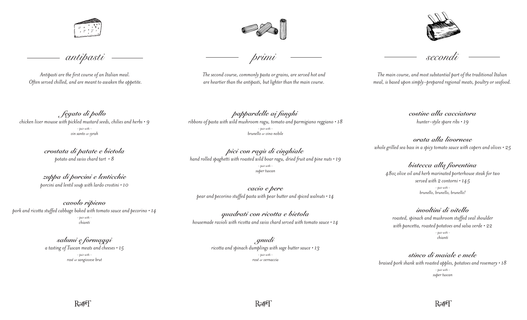

*antipasti*

*Antipasti are the first course of an Italian meal. Often served chilled, and are meant to awaken the appetite.*

*fegato di pollo chicken liver mousse with pickled mustard seeds, chilies and herbs • 9 - pair with vin santo or syrah*

> *crostata di patate e bietola potato and swiss chard tart • 8*

*zuppa di porcini e lenticchie porcini and lentil soup with lardo crostini • 10*

*cavolo ripieno pork and ricotta stuffed cabbage baked with tomato sauce and pecorino • 14 - pair with chianti*

> *salumi e formaggi a tasting of Tuscan meats and cheeses • 15 - pair with rosé or sangiovese brut*

*The second course, commonly pasta or grains, are served hot and are heartier than the antipasti, but lighter than the main course.*

*pappardelle ai funghi ribbons of pasta with wild mushroom ragu, tomato and parmigiano reggiano • 18 - pair with brunello or vino nobile* 

*pici con ragù di cinghiale hand rolled spaghetti with roasted wild boar ragu, dried fruit and pine nuts • 19 - pair with super tuscan*

*cacio e pere pear and pecorino stuffed pasta with pear butter and spiced walnuts • 14* 

*quadrati con ricotta e bietola housemade ravioli with ricotta and swiss chard served with tomato sauce • 14*

> *gnudi ricotta and spinach dumplings with sage butter sauce • 13 - pair with rosé or vernaccia*



*primi secondi*

*The main course, and most substantial part of the traditional Italian meal, is based upon simply-prepared regional meats, poultry or seafood.*

> *costine alla cacciatora hunter-style spare ribs • 19*

*orata alla livornese whole grilled sea bass in a spicy tomato sauce with capers and olives • 25* 

*bistecca alla fiorentina 48oz olive oil and herb marinated porterhouse steak for two served with 2 contorni • 145 - pair with brunello, brunello, brunello!*

*involtini di vitello roasted, spinach and mushroom stuffed veal shoulder with pancetta, roasted potatoes and salsa verde • 22 - pair with chianti*

*stinco di maiale e mele braised pork shank with roasted apples, potatoes and rosemary • 18 - pair with super tuscan*

 $R \gg 1$ 

 $R \gg 1$